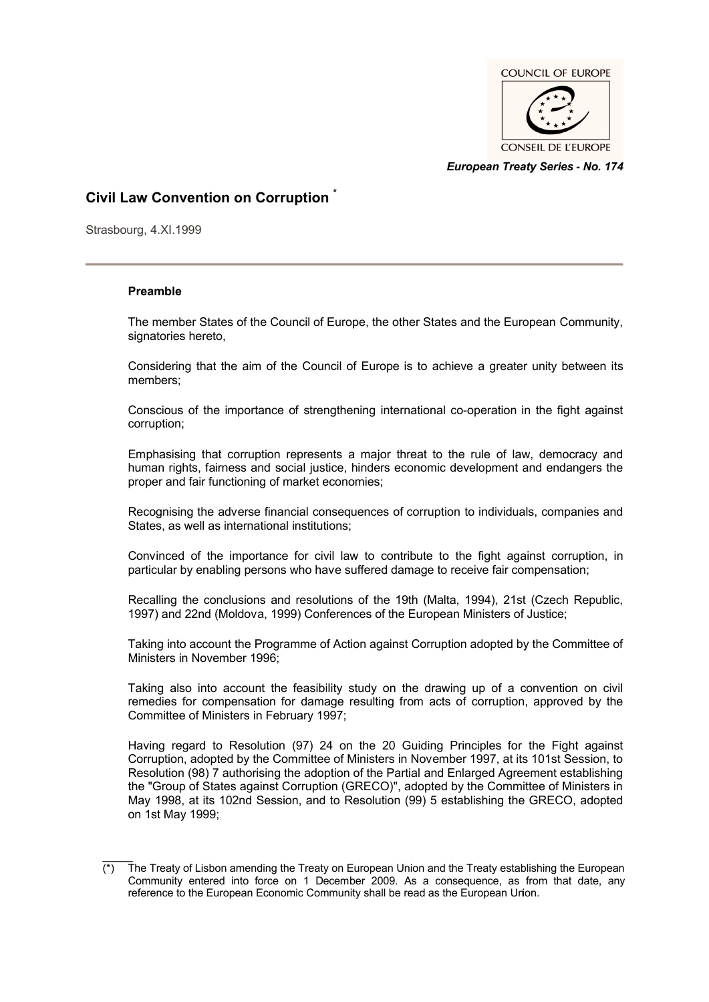

*European Treaty Series* **-** *No. 174*

# **Civil Law Convention on Corruption \***

Strasbourg, 4.XI.1999

## **Preamble**

 $\mathcal{L}$ 

The member States of the Council of Europe, the other States and the European Community, signatories hereto,

Considering that the aim of the Council of Europe is to achieve a greater unity between its members;

Conscious of the importance of strengthening international co-operation in the fight against corruption;

Emphasising that corruption represents a major threat to the rule of law, democracy and human rights, fairness and social justice, hinders economic development and endangers the proper and fair functioning of market economies;

Recognising the adverse financial consequences of corruption to individuals, companies and States, as well as international institutions;

Convinced of the importance for civil law to contribute to the fight against corruption, in particular by enabling persons who have suffered damage to receive fair compensation;

Recalling the conclusions and resolutions of the 19th (Malta, 1994), 21st (Czech Republic, 1997) and 22nd (Moldova, 1999) Conferences of the European Ministers of Justice;

Taking into account the Programme of Action against Corruption adopted by the Committee of Ministers in November 1996;

Taking also into account the feasibility study on the drawing up of a convention on civil remedies for compensation for damage resulting from acts of corruption, approved by the Committee of Ministers in February 1997;

Having regard to Resolution (97) 24 on the 20 Guiding Principles for the Fight against Corruption, adopted by the Committee of Ministers in November 1997, at its 101st Session, to Resolution (98) 7 authorising the adoption of the Partial and Enlarged Agreement establishing the "Group of States against Corruption (GRECO)", adopted by the Committee of Ministers in May 1998, at its 102nd Session, and to Resolution (99) 5 establishing the GRECO, adopted on 1st May 1999;

 $(*)$  The Treaty of Lisbon amending the Treaty on European Union and the Treaty establishing the European Community entered into force on 1 December 2009. As a consequence, as from that date, any reference to the European Economic Community shall be read as the European Union.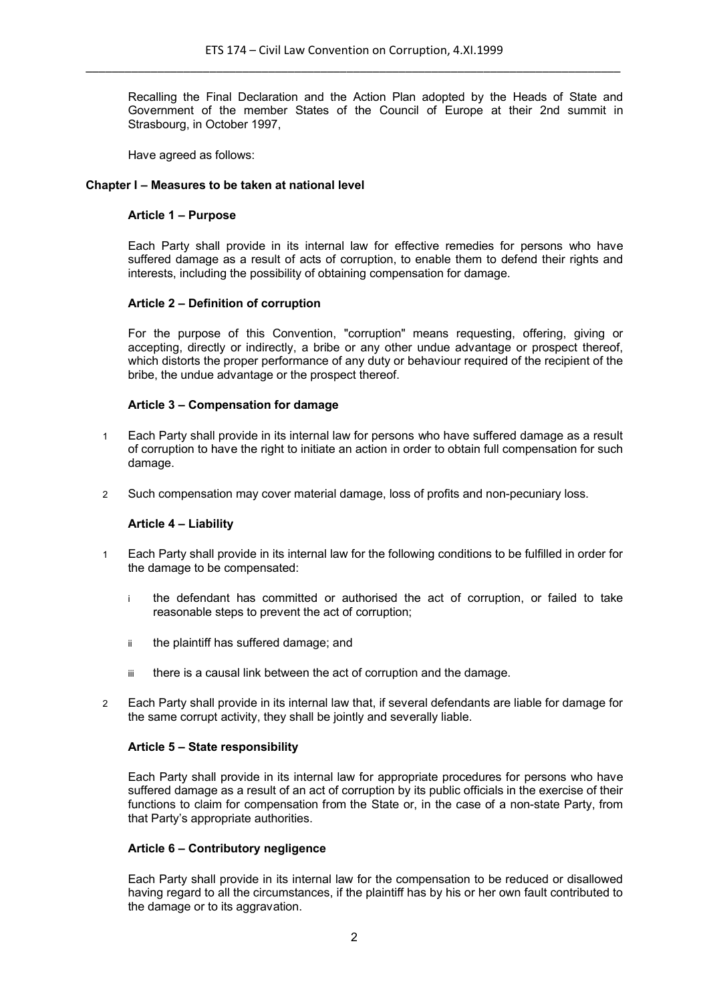Recalling the Final Declaration and the Action Plan adopted by the Heads of State and Government of the member States of the Council of Europe at their 2nd summit in Strasbourg, in October 1997,

Have agreed as follows:

#### **Chapter I – Measures to be taken at national level**

### **Article 1 – Purpose**

Each Party shall provide in its internal law for effective remedies for persons who have suffered damage as a result of acts of corruption, to enable them to defend their rights and interests, including the possibility of obtaining compensation for damage.

#### **Article 2 – Definition of corruption**

For the purpose of this Convention, "corruption" means requesting, offering, giving or accepting, directly or indirectly, a bribe or any other undue advantage or prospect thereof, which distorts the proper performance of any duty or behaviour required of the recipient of the bribe, the undue advantage or the prospect thereof.

## **Article 3 – Compensation for damage**

- 1 Each Party shall provide in its internal law for persons who have suffered damage as a result of corruption to have the right to initiate an action in order to obtain full compensation for such damage.
- 2 Such compensation may cover material damage, loss of profits and non-pecuniary loss.

#### **Article 4 – Liability**

- 1 Each Party shall provide in its internal law for the following conditions to be fulfilled in order for the damage to be compensated:
	- i the defendant has committed or authorised the act of corruption, or failed to take reasonable steps to prevent the act of corruption;
	- ii the plaintiff has suffered damage; and
	- iii there is a causal link between the act of corruption and the damage.
- 2 Each Party shall provide in its internal law that, if several defendants are liable for damage for the same corrupt activity, they shall be jointly and severally liable.

#### **Article 5 – State responsibility**

Each Party shall provide in its internal law for appropriate procedures for persons who have suffered damage as a result of an act of corruption by its public officials in the exercise of their functions to claim for compensation from the State or, in the case of a non-state Party, from that Party's appropriate authorities.

# **Article 6 – Contributory negligence**

Each Party shall provide in its internal law for the compensation to be reduced or disallowed having regard to all the circumstances, if the plaintiff has by his or her own fault contributed to the damage or to its aggravation.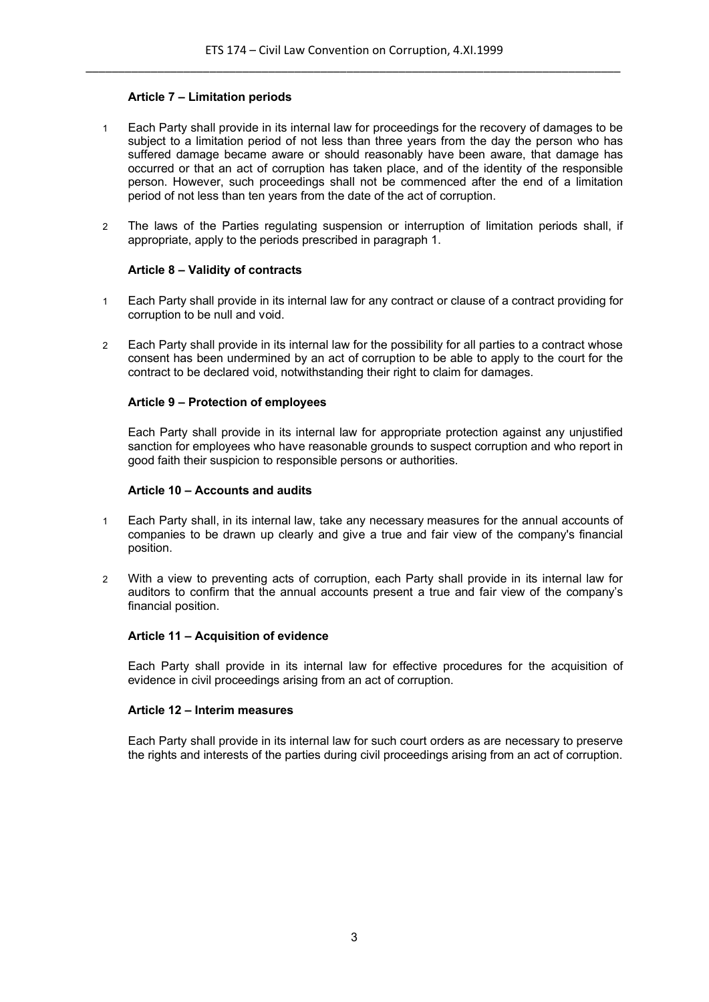# **Article 7 – Limitation periods**

- 1 Each Party shall provide in its internal law for proceedings for the recovery of damages to be subject to a limitation period of not less than three years from the day the person who has suffered damage became aware or should reasonably have been aware, that damage has occurred or that an act of corruption has taken place, and of the identity of the responsible person. However, such proceedings shall not be commenced after the end of a limitation period of not less than ten years from the date of the act of corruption.
- 2 The laws of the Parties regulating suspension or interruption of limitation periods shall, if appropriate, apply to the periods prescribed in paragraph 1.

## **Article 8 – Validity of contracts**

- 1 Each Party shall provide in its internal law for any contract or clause of a contract providing for corruption to be null and void.
- 2 Each Party shall provide in its internal law for the possibility for all parties to a contract whose consent has been undermined by an act of corruption to be able to apply to the court for the contract to be declared void, notwithstanding their right to claim for damages.

## **Article 9 – Protection of employees**

Each Party shall provide in its internal law for appropriate protection against any unjustified sanction for employees who have reasonable grounds to suspect corruption and who report in good faith their suspicion to responsible persons or authorities.

## **Article 10 – Accounts and audits**

- 1 Each Party shall, in its internal law, take any necessary measures for the annual accounts of companies to be drawn up clearly and give a true and fair view of the company's financial position.
- 2 With a view to preventing acts of corruption, each Party shall provide in its internal law for auditors to confirm that the annual accounts present a true and fair view of the company's financial position.

#### **Article 11 – Acquisition of evidence**

Each Party shall provide in its internal law for effective procedures for the acquisition of evidence in civil proceedings arising from an act of corruption.

## **Article 12 – Interim measures**

Each Party shall provide in its internal law for such court orders as are necessary to preserve the rights and interests of the parties during civil proceedings arising from an act of corruption.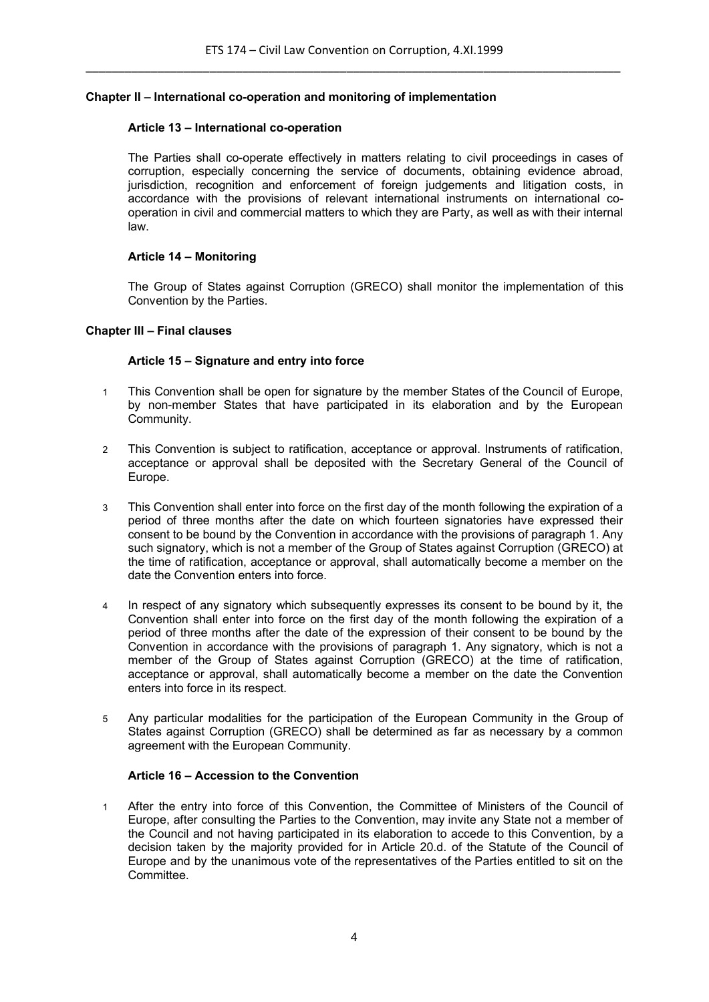# **Chapter II – International co-operation and monitoring of implementation**

#### **Article 13 – International co-operation**

The Parties shall co-operate effectively in matters relating to civil proceedings in cases of corruption, especially concerning the service of documents, obtaining evidence abroad, jurisdiction, recognition and enforcement of foreign judgements and litigation costs, in accordance with the provisions of relevant international instruments on international cooperation in civil and commercial matters to which they are Party, as well as with their internal law.

## **Article 14 – Monitoring**

The Group of States against Corruption (GRECO) shall monitor the implementation of this Convention by the Parties.

#### **Chapter III – Final clauses**

## **Article 15 – Signature and entry into force**

- 1 This Convention shall be open for signature by the member States of the Council of Europe, by non-member States that have participated in its elaboration and by the European Community.
- 2 This Convention is subject to ratification, acceptance or approval. Instruments of ratification, acceptance or approval shall be deposited with the Secretary General of the Council of Europe.
- 3 This Convention shall enter into force on the first day of the month following the expiration of a period of three months after the date on which fourteen signatories have expressed their consent to be bound by the Convention in accordance with the provisions of paragraph 1. Any such signatory, which is not a member of the Group of States against Corruption (GRECO) at the time of ratification, acceptance or approval, shall automatically become a member on the date the Convention enters into force.
- 4 In respect of any signatory which subsequently expresses its consent to be bound by it, the Convention shall enter into force on the first day of the month following the expiration of a period of three months after the date of the expression of their consent to be bound by the Convention in accordance with the provisions of paragraph 1. Any signatory, which is not a member of the Group of States against Corruption (GRECO) at the time of ratification, acceptance or approval, shall automatically become a member on the date the Convention enters into force in its respect.
- 5 Any particular modalities for the participation of the European Community in the Group of States against Corruption (GRECO) shall be determined as far as necessary by a common agreement with the European Community.

# **Article 16 – Accession to the Convention**

1 After the entry into force of this Convention, the Committee of Ministers of the Council of Europe, after consulting the Parties to the Convention, may invite any State not a member of the Council and not having participated in its elaboration to accede to this Convention, by a decision taken by the majority provided for in Article 20.d. of the Statute of the Council of Europe and by the unanimous vote of the representatives of the Parties entitled to sit on the Committee.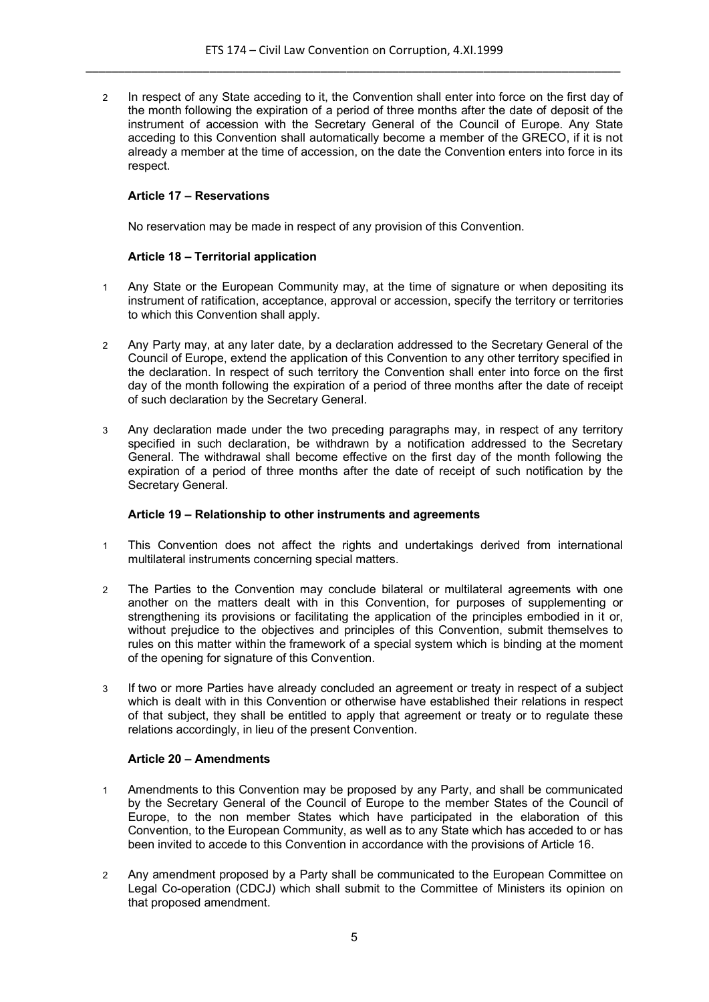2 In respect of any State acceding to it, the Convention shall enter into force on the first day of the month following the expiration of a period of three months after the date of deposit of the instrument of accession with the Secretary General of the Council of Europe. Any State acceding to this Convention shall automatically become a member of the GRECO, if it is not already a member at the time of accession, on the date the Convention enters into force in its respect.

# **Article 17 – Reservations**

No reservation may be made in respect of any provision of this Convention.

# **Article 18 – Territorial application**

- 1 Any State or the European Community may, at the time of signature or when depositing its instrument of ratification, acceptance, approval or accession, specify the territory or territories to which this Convention shall apply.
- 2 Any Party may, at any later date, by a declaration addressed to the Secretary General of the Council of Europe, extend the application of this Convention to any other territory specified in the declaration. In respect of such territory the Convention shall enter into force on the first day of the month following the expiration of a period of three months after the date of receipt of such declaration by the Secretary General.
- 3 Any declaration made under the two preceding paragraphs may, in respect of any territory specified in such declaration, be withdrawn by a notification addressed to the Secretary General. The withdrawal shall become effective on the first day of the month following the expiration of a period of three months after the date of receipt of such notification by the Secretary General.

# **Article 19 – Relationship to other instruments and agreements**

- 1 This Convention does not affect the rights and undertakings derived from international multilateral instruments concerning special matters.
- 2 The Parties to the Convention may conclude bilateral or multilateral agreements with one another on the matters dealt with in this Convention, for purposes of supplementing or strengthening its provisions or facilitating the application of the principles embodied in it or, without prejudice to the objectives and principles of this Convention, submit themselves to rules on this matter within the framework of a special system which is binding at the moment of the opening for signature of this Convention.
- 3 If two or more Parties have already concluded an agreement or treaty in respect of a subject which is dealt with in this Convention or otherwise have established their relations in respect of that subject, they shall be entitled to apply that agreement or treaty or to regulate these relations accordingly, in lieu of the present Convention.

# **Article 20 – Amendments**

- 1 Amendments to this Convention may be proposed by any Party, and shall be communicated by the Secretary General of the Council of Europe to the member States of the Council of Europe, to the non member States which have participated in the elaboration of this Convention, to the European Community, as well as to any State which has acceded to or has been invited to accede to this Convention in accordance with the provisions of Article 16.
- 2 Any amendment proposed by a Party shall be communicated to the European Committee on Legal Co-operation (CDCJ) which shall submit to the Committee of Ministers its opinion on that proposed amendment.